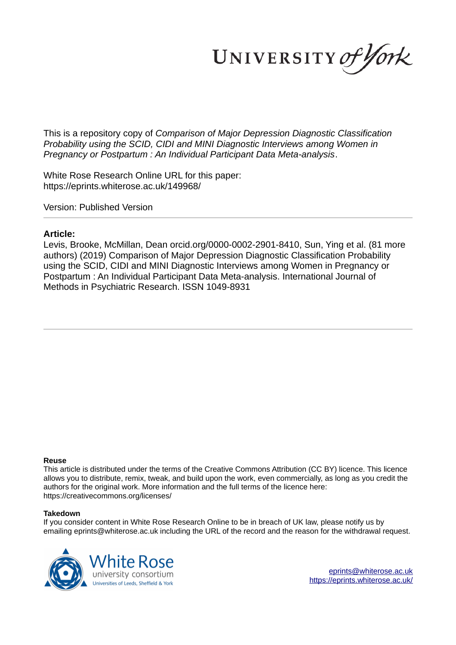UNIVERSITY of York

This is a repository copy of *Comparison of Major Depression Diagnostic Classification Probability using the SCID, CIDI and MINI Diagnostic Interviews among Women in Pregnancy or Postpartum : An Individual Participant Data Meta-analysis*.

White Rose Research Online URL for this paper: https://eprints.whiterose.ac.uk/149968/

Version: Published Version

## **Article:**

Levis, Brooke, McMillan, Dean orcid.org/0000-0002-2901-8410, Sun, Ying et al. (81 more authors) (2019) Comparison of Major Depression Diagnostic Classification Probability using the SCID, CIDI and MINI Diagnostic Interviews among Women in Pregnancy or Postpartum : An Individual Participant Data Meta-analysis. International Journal of Methods in Psychiatric Research. ISSN 1049-8931

## **Reuse**

This article is distributed under the terms of the Creative Commons Attribution (CC BY) licence. This licence allows you to distribute, remix, tweak, and build upon the work, even commercially, as long as you credit the authors for the original work. More information and the full terms of the licence here: https://creativecommons.org/licenses/

## **Takedown**

If you consider content in White Rose Research Online to be in breach of UK law, please notify us by emailing eprints@whiterose.ac.uk including the URL of the record and the reason for the withdrawal request.



eprints@whiterose.ac.uk https://eprints.whiterose.ac.uk/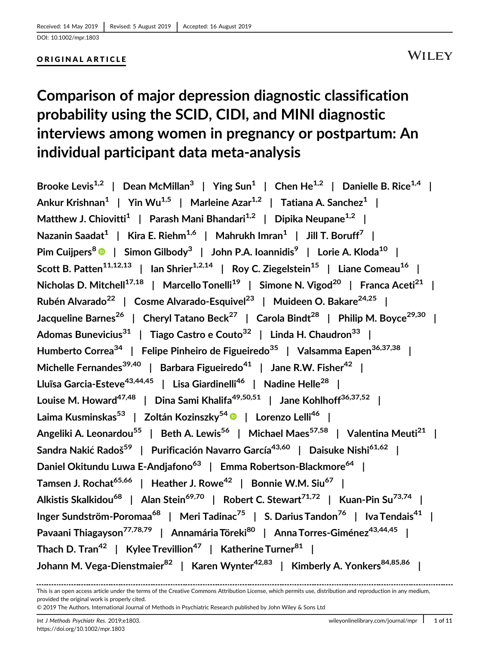## ORIGINAL ARTICLE

# Comparison of major depression diagnostic classification probability using the SCID, CIDI, and MINI diagnostic interviews among women in pregnancy or postpartum: An individual participant data meta-analysis

Brooke Levis<sup>1,2</sup> | Dean McMillan<sup>3</sup> | Ying Sun<sup>1</sup> | Chen He<sup>1,2</sup> | Danielle B. Rice<sup>1,4</sup> | Ankur Krishnan $^1$  | Yin Wu $^{1,5}$  | Marleine Azar $^{1,2}$  | Tatiana A. Sanchez $^1$  | Matthew J. Chiovitti<sup>1</sup> | Parash Mani Bhandari<sup>1,2</sup> | Dipika Neupane<sup>1,2</sup> | Nazanin Saadat $^1\;$  | Kira E. Riehm $^{1,6}\;$  | Mahrukh Imran $^1\;$  | Jill T. Boruff $^7\;$  | Pim Cuijpers<sup>8</sup> ® | Simon Gilbody<sup>3</sup> | John P.A. Ioannidis<sup>9</sup> | Lorie A. Kloda<sup>10</sup> | Scott B. Patten<sup>11,12,13</sup> | Ian Shrier<sup>1,2,14</sup> | Roy C. Ziegelstein<sup>15</sup> | Liane Comeau<sup>16</sup> | Nicholas D. Mitchell<sup>17,18</sup> | Marcello Tonelli<sup>19</sup> | Simone N. Vigod<sup>20</sup> | Franca Aceti<sup>21</sup> | Rubén Alvarado<sup>22</sup> | Cosme Alvarado-Esquivel<sup>23</sup> | Muideen O. Bakare<sup>24,25</sup> | Jacqueline Barnes<sup>26</sup> | Cheryl Tatano Beck<sup>27</sup> | Carola Bindt<sup>28</sup> | Philip M. Boyce<sup>29,30</sup> | Adomas Bunevicius<sup>31</sup> | Tiago Castro e Couto<sup>32</sup> | Linda H. Chaudron<sup>33</sup> | Humberto Correa<sup>34</sup> | Felipe Pinheiro de Figueiredo<sup>35</sup> | Valsamma Eapen<sup>36,37,38</sup> | Michelle Fernandes<sup>39,40</sup> | Barbara Figueiredo<sup>41</sup> | Jane R.W. Fisher<sup>42</sup> | Lluïsa Garcia-Esteve<sup>43,44,45</sup> | Lisa Giardinelli<sup>46</sup> | Nadine Helle<sup>28</sup> | Louise M. Howard<sup>47,48</sup> | Dina Sami Khalifa<sup>49,50,51</sup> | Jane Kohlhoff<sup>36,37,52</sup> | Laima Kusminskas<sup>53</sup> | Zoltán Kozinszky<sup>54</sup> | Lorenzo Lelli<sup>46</sup> | Angeliki A. Leonardou<sup>55</sup> | Beth A. Lewis<sup>56</sup> | Michael Maes<sup>57,58</sup> | Valentina Meuti<sup>21</sup> | Sandra Nakić Radoš<sup>59</sup> | Purificación Navarro García<sup>43,60</sup> | Daisuke Nishi<sup>61,62</sup> | Daniel Okitundu Luwa E-Andjafono<sup>63</sup> | Emma Robertson-Blackmore<sup>64</sup> | Tamsen J. Rochat<sup>65,66</sup> | Heather J. Rowe<sup>42</sup> | Bonnie W.M. Siu<sup>67</sup> | Alkistis Skalkidou<sup>68</sup> | Alan Stein<sup>69,70</sup> | Robert C. Stewart<sup>71,72</sup> | Kuan-Pin Su<sup>73,74</sup> | Inger Sundström-Poromaa<sup>68</sup> | Meri Tadinac<sup>75</sup> | S. Darius Tandon<sup>76</sup> | Iva Tendais<sup>41</sup> | Pavaani Thiagayson<sup>77,78,79</sup> | Annamária Töreki<sup>80</sup> | Anna Torres-Giménez<sup>43,44,45</sup> | Thach D. Tran<sup>42</sup> | Kylee Trevillion<sup>47</sup> | Katherine Turner<sup>81</sup> | Johann M. Vega-Dienstmaier<sup>82</sup> | Karen Wynter<sup>42,83</sup> | Kimberly A. Yonkers<sup>84,85,86</sup> |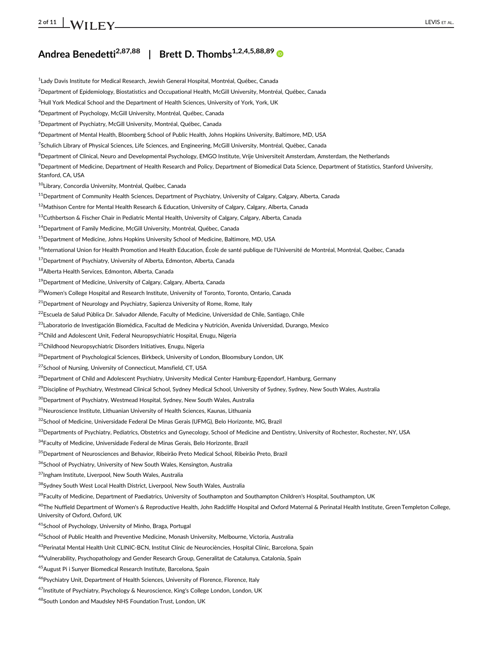# 2 of 11  $\blacksquare$   $\blacksquare$  LEVIS ET AL.

## Andrea Benedetti<sup>2,87,88</sup> | Brett D. Thombs<sup>1,2,4,5,88,89</sup>

<sup>1</sup> Lady Davis Institute for Medical Research, Jewish General Hospital, Montréal, Québec, Canada <sup>2</sup>Department of Epidemiology, Biostatistics and Occupational Health, McGill University, Montréal, Québec, Canada <sup>3</sup>Hull York Medical School and the Department of Health Sciences, University of York, York, UK <sup>4</sup>Department of Psychology, McGill University, Montréal, Québec, Canada <sup>5</sup>Department of Psychiatry, McGill University, Montréal, Québec, Canada <sup>6</sup>Department of Mental Health, Bloomberg School of Public Health, Johns Hopkins University, Baltimore, MD, USA 7 Schulich Library of Physical Sciences, Life Sciences, and Engineering, McGill University, Montréal, Québec, Canada <sup>8</sup>Department of Clinical, Neuro and Developmental Psychology, EMGO Institute, Vrije Universiteit Amsterdam, Amsterdam, the Netherlands <sup>9</sup>Department of Medicine, Department of Health Research and Policy, Department of Biomedical Data Science, Department of Statistics, Stanford University, Stanford, CA, USA <sup>10</sup>Library, Concordia University, Montréal, Québec, Canada <sup>11</sup> Department of Community Health Sciences, Department of Psychiatry, University of Calgary, Calgary, Alberta, Canada 12Mathison Centre for Mental Health Research & Education, University of Calgary, Calgary, Alberta, Canada <sup>13</sup>Cuthbertson & Fischer Chair in Pediatric Mental Health, University of Calgary, Calgary, Alberta, Canada <sup>14</sup>Department of Family Medicine, McGill University, Montréal, Québec, Canada <sup>15</sup>Department of Medicine, Johns Hopkins University School of Medicine, Baltimore, MD, USA <sup>16</sup>International Union for Health Promotion and Health Education, École de santé publique de l'Université de Montréal, Montréal, Québec, Canada <sup>17</sup>Department of Psychiatry, University of Alberta, Edmonton, Alberta, Canada <sup>18</sup>Alberta Health Services, Edmonton, Alberta, Canada <sup>19</sup> Department of Medicine, University of Calgary, Calgary, Alberta, Canada <sup>20</sup>Women's College Hospital and Research Institute, University of Toronto, Toronto, Ontario, Canada  $21$ Department of Neurology and Psychiatry, Sapienza University of Rome, Rome, Italy <sup>22</sup>Escuela de Salud Pública Dr. Salvador Allende, Faculty of Medicine, Universidad de Chile, Santiago, Chile <sup>23</sup>Laboratorio de Investigación Biomédica, Facultad de Medicina y Nutrición, Avenida Universidad, Durango, Mexico <sup>24</sup>Child and Adolescent Unit, Federal Neuropsychiatric Hospital, Enugu, Nigeria <sup>25</sup>Childhood Neuropsychiatric Disorders Initiatives, Enugu, Nigeria <sup>26</sup>Department of Psychological Sciences, Birkbeck, University of London, Bloomsbury London, UK <sup>27</sup>School of Nursing, University of Connecticut, Mansfield, CT, USA <sup>28</sup>Department of Child and Adolescent Psychiatry, University Medical Center Hamburg-Eppendorf, Hamburg, Germany <sup>29</sup>Discipline of Psychiatry, Westmead Clinical School, Sydney Medical School, University of Sydney, Sydney, New South Wales, Australia <sup>30</sup>Department of Psychiatry, Westmead Hospital, Sydney, New South Wales, Australia <sup>31</sup>Neuroscience Institute, Lithuanian University of Health Sciences, Kaunas, Lithuania 32School of Medicine, Universidade Federal De Minas Gerais (UFMG), Belo Horizonte, MG, Brazil <sup>33</sup>Departments of Psychiatry, Pediatrics, Obstetrics and Gynecology, School of Medicine and Dentistry, University of Rochester, Rochester, NY, USA <sup>34</sup>Faculty of Medicine, Universidade Federal de Minas Gerais, Belo Horizonte, Brazil <sup>35</sup>Department of Neurosciences and Behavior, Ribeirão Preto Medical School, Ribeirão Preto, Brazil <sup>36</sup>School of Psychiatry, University of New South Wales, Kensington, Australia 37Ingham Institute, Liverpool, New South Wales, Australia 38Sydney South West Local Health District, Liverpool, New South Wales, Australia <sup>39</sup>Faculty of Medicine, Department of Paediatrics, University of Southampton and Southampton Children's Hospital, Southampton, UK <sup>40</sup>The Nuffield Department of Women's & Reproductive Health, John Radcliffe Hospital and Oxford Maternal & Perinatal Health Institute, Green Templeton College, University of Oxford, Oxford, UK <sup>41</sup>School of Psychology, University of Minho, Braga, Portugal <sup>42</sup>School of Public Health and Preventive Medicine, Monash University, Melbourne, Victoria, Australia 43Perinatal Mental Health Unit CLINIC-BCN, Institut Clínic de Neurociències, Hospital Clínic, Barcelona, Spain <sup>44</sup>Vulnerability, Psychopathology and Gender Research Group, Generalitat de Catalunya, Catalonia, Spain <sup>45</sup>August Pi i Sunyer Biomedical Research Institute, Barcelona, Spain <sup>46</sup>Psychiatry Unit, Department of Health Sciences, University of Florence, Florence, Italy <sup>47</sup>Institute of Psychiatry, Psychology & Neuroscience, King's College London, London, UK

<sup>48</sup>South London and Maudsley NHS Foundation Trust, London, UK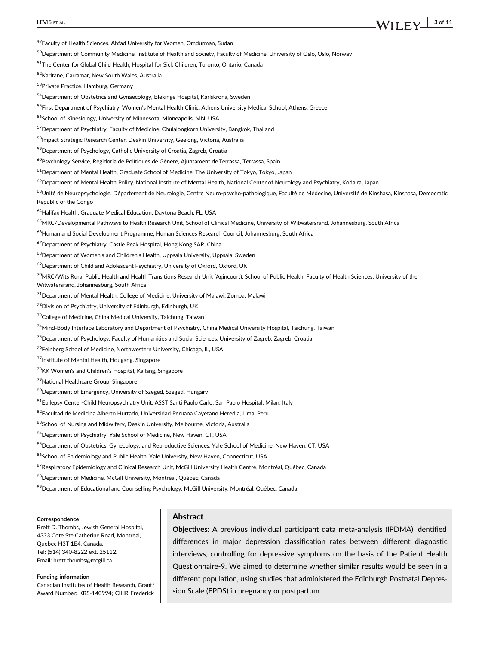<sup>49</sup>Faculty of Health Sciences, Ahfad University for Women, Omdurman, Sudan

<sup>50</sup>Department of Community Medicine, Institute of Health and Society, Faculty of Medicine, University of Oslo, Oslo, Norway

<sup>51</sup>The Center for Global Child Health, Hospital for Sick Children, Toronto, Ontario, Canada

<sup>52</sup>Karitane, Carramar, New South Wales, Australia

<sup>53</sup>Private Practice, Hamburg, Germany

<sup>54</sup>Department of Obstetrics and Gynaecology, Blekinge Hospital, Karlskrona, Sweden

<sup>55</sup>First Department of Psychiatry, Women's Mental Health Clinic, Athens University Medical School, Athens, Greece

56School of Kinesiology, University of Minnesota, Minneapolis, MN, USA

<sup>57</sup>Department of Psychiatry, Faculty of Medicine, Chulalongkorn University, Bangkok, Thailand

<sup>58</sup>Impact Strategic Research Center, Deakin University, Geelong, Victoria, Australia

<sup>59</sup>Department of Psychology, Catholic University of Croatia, Zagreb, Croatia

<sup>60</sup>Psychology Service, Regidoria de Polítiques de Gènere, Ajuntament de Terrassa, Terrassa, Spain

<sup>61</sup>Department of Mental Health, Graduate School of Medicine, The University of Tokyo, Tokyo, Japan

<sup>62</sup>Department of Mental Health Policy, National Institute of Mental Health, National Center of Neurology and Psychiatry, Kodaira, Japan

<sup>63</sup>Unité de Neuropsychologie, Département de Neurologie, Centre Neuro-psycho-pathologique, Faculté de Médecine, Université de Kinshasa, Kinshasa, Democratic Republic of the Congo

<sup>64</sup>Halifax Health, Graduate Medical Education, Daytona Beach, FL, USA

<sup>65</sup>MRC/Developmental Pathways to Health Research Unit, School of Clinical Medicine, University of Witwatersrand, Johannesburg, South Africa

<sup>66</sup>Human and Social Development Programme, Human Sciences Research Council, Johannesburg, South Africa

<sup>67</sup>Department of Psychiatry, Castle Peak Hospital, Hong Kong SAR, China

<sup>68</sup>Department of Women's and Children's Health, Uppsala University, Uppsala, Sweden

<sup>69</sup>Department of Child and Adolescent Psychiatry, University of Oxford, Oxford, UK

<sup>70</sup>MRC/Wits Rural Public Health and Health Transitions Research Unit (Agincourt), School of Public Health, Faculty of Health Sciences, University of the Witwatersrand, Johannesburg, South Africa

 $71$ Department of Mental Health, College of Medicine, University of Malawi, Zomba, Malawi

<sup>72</sup>Division of Psychiatry, University of Edinburgh, Edinburgh, UK

<sup>73</sup>College of Medicine, China Medical University, Taichung, Taiwan

<sup>74</sup>Mind-Body Interface Laboratory and Department of Psychiatry, China Medical University Hospital, Taichung, Taiwan

<sup>75</sup>Department of Psychology, Faculty of Humanities and Social Sciences, University of Zagreb, Zagreb, Croatia

<sup>76</sup>Feinberg School of Medicine, Northwestern University, Chicago, IL, USA

<sup>77</sup>Institute of Mental Health, Hougang, Singapore

<sup>78</sup>KK Women's and Children's Hospital, Kallang, Singapore

<sup>79</sup>National Healthcare Group, Singapore

80 Department of Emergency, University of Szeged, Szeged, Hungary

 $81$ Epilepsy Center-Child Neuropsychiatry Unit, ASST Santi Paolo Carlo, San Paolo Hospital, Milan, Italy

<sup>82</sup>Facultad de Medicina Alberto Hurtado, Universidad Peruana Cayetano Heredia, Lima, Peru

83School of Nursing and Midwifery, Deakin University, Melbourne, Victoria, Australia

84 Department of Psychiatry, Yale School of Medicine, New Haven, CT, USA

85 Department of Obstetrics, Gynecology, and Reproductive Sciences, Yale School of Medicine, New Haven, CT, USA

86School of Epidemiology and Public Health, Yale University, New Haven, Connecticut, USA

87Respiratory Epidemiology and Clinical Research Unit, McGill University Health Centre, Montréal, Québec, Canada

88 Department of Medicine, McGill University, Montréal, Québec, Canada

89 Department of Educational and Counselling Psychology, McGill University, Montréal, Québec, Canada

#### **Correspondence**

Brett D. Thombs, Jewish General Hospital, 4333 Cote Ste Catherine Road, Montreal, Quebec H3T 1E4, Canada. Tel: (514) 340-8222 ext. 25112. Email: brett.thombs@mcgill.ca

Funding information

Canadian Institutes of Health Research, Grant/ Award Number: KRS-140994; CIHR Frederick

## Abstract

Objectives: A previous individual participant data meta-analysis (IPDMA) identified differences in major depression classification rates between different diagnostic interviews, controlling for depressive symptoms on the basis of the Patient Health Questionnaire-9. We aimed to determine whether similar results would be seen in a different population, using studies that administered the Edinburgh Postnatal Depression Scale (EPDS) in pregnancy or postpartum.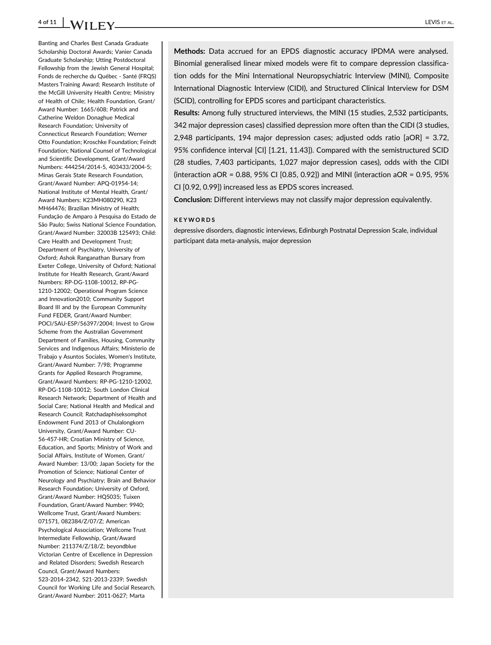## 4 of 11  $\bigcup_{i=1}^{n} N_i$  if  $\bigcup_{i=1}^{n} N_i$  if  $\bigcup_{i=1}^{n} N_i$  if  $\bigcup_{i=1}^{n} N_i$  if  $\bigcup_{i=1}^{n} N_i$  if  $\bigcup_{i=1}^{n} N_i$  if  $\bigcup_{i=1}^{n} N_i$  if  $\bigcup_{i=1}^{n} N_i$  if  $\bigcup_{i=1}^{n} N_i$  if  $\bigcup_{i=1}^{n} N_i$  if  $\bigcup_{i=1}^{n} N_i$  if  $\bigcup$

Banting and Charles Best Canada Graduate Scholarship Doctoral Awards; Vanier Canada Graduate Scholarship; Utting Postdoctoral Fellowship from the Jewish General Hospital; Fonds de recherche du Québec - Santé (FRQS) Masters Training Award; Research Institute of the McGill University Health Centre; Ministry of Health of Chile; Health Foundation, Grant/ Award Number: 1665/608; Patrick and Catherine Weldon Donaghue Medical Research Foundation; University of Connecticut Research Foundation; Werner Otto Foundation; Kroschke Foundation; Feindt Foundation; National Counsel of Technological and Scientific Development, Grant/Award Numbers: 444254/2014-5, 403433/2004-5; Minas Gerais State Research Foundation, Grant/Award Number: APQ-01954-14; National Institute of Mental Health, Grant/ Award Numbers: K23MH080290, K23 MH64476; Brazilian Ministry of Health; Fundação de Amparo à Pesquisa do Estado de São Paulo; Swiss National Science Foundation, Grant/Award Number: 32003B 125493; Child: Care Health and Development Trust; Department of Psychiatry, University of Oxford; Ashok Ranganathan Bursary from Exeter College, University of Oxford; National Institute for Health Research, Grant/Award Numbers: RP-DG-1108-10012, RP-PG-1210-12002; Operational Program Science and Innovation2010; Community Support Board III and by the European Community Fund FEDER, Grant/Award Number: POCI/SAU-ESP/56397/2004; Invest to Grow Scheme from the Australian Government Department of Families, Housing, Community Services and Indigenous Affairs; Ministerio de Trabajo y Asuntos Sociales, Women's Institute, Grant/Award Number: 7/98; Programme Grants for Applied Research Programme, Grant/Award Numbers: RP-PG-1210-12002, RP-DG-1108-10012; South London Clinical Research Network; Department of Health and Social Care; National Health and Medical and Research Council; Ratchadaphiseksomphot Endowment Fund 2013 of Chulalongkorn University, Grant/Award Number: CU-56-457-HR; Croatian Ministry of Science, Education, and Sports; Ministry of Work and Social Affairs, Institute of Women, Grant/ Award Number: 13/00; Japan Society for the Promotion of Science; National Center of Neurology and Psychiatry; Brain and Behavior Research Foundation; University of Oxford, Grant/Award Number: HQ5035; Tuixen Foundation, Grant/Award Number: 9940; Wellcome Trust, Grant/Award Numbers: 071571, 082384/Z/07/Z; American Psychological Association; Wellcome Trust Intermediate Fellowship, Grant/Award Number: 211374/Z/18/Z; beyondblue Victorian Centre of Excellence in Depression and Related Disorders; Swedish Research Council, Grant/Award Numbers: 523-2014-2342, 521-2013-2339; Swedish Council for Working Life and Social Research, Grant/Award Number: 2011-0627; Marta

Methods: Data accrued for an EPDS diagnostic accuracy IPDMA were analysed. Binomial generalised linear mixed models were fit to compare depression classification odds for the Mini International Neuropsychiatric Interview (MINI), Composite International Diagnostic Interview (CIDI), and Structured Clinical Interview for DSM (SCID), controlling for EPDS scores and participant characteristics.

Results: Among fully structured interviews, the MINI (15 studies, 2,532 participants, 342 major depression cases) classified depression more often than the CIDI (3 studies, 2,948 participants, 194 major depression cases; adjusted odds ratio [aOR] = 3.72, 95% confidence interval [CI] [1.21, 11.43]). Compared with the semistructured SCID (28 studies, 7,403 participants, 1,027 major depression cases), odds with the CIDI (interaction aOR = 0.88, 95% CI [0.85, 0.92]) and MINI (interaction aOR = 0.95, 95% CI [0.92, 0.99]) increased less as EPDS scores increased.

Conclusion: Different interviews may not classify major depression equivalently.

### KEYWORDS

depressive disorders, diagnostic interviews, Edinburgh Postnatal Depression Scale, individual participant data meta-analysis, major depression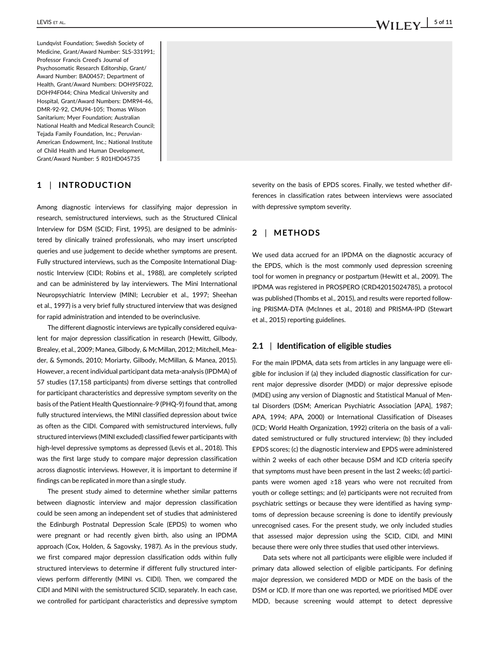Lundqvist Foundation; Swedish Society of Medicine, Grant/Award Number: SLS-331991; Professor Francis Creed's Journal of Psychosomatic Research Editorship, Grant/ Award Number: BA00457; Department of Health, Grant/Award Numbers: DOH95F022, DOH94F044; China Medical University and Hospital, Grant/Award Numbers: DMR94-46, DMR-92-92, CMU94-105; Thomas Wilson Sanitarium; Myer Foundation; Australian National Health and Medical Research Council; Tejada Family Foundation, Inc.; Peruvian-American Endowment, Inc.; National Institute of Child Health and Human Development, Grant/Award Number: 5 R01HD045735

## 1 | INTRODUCTION

Among diagnostic interviews for classifying major depression in research, semistructured interviews, such as the Structured Clinical Interview for DSM (SCID; First, 1995), are designed to be administered by clinically trained professionals, who may insert unscripted queries and use judgement to decide whether symptoms are present. Fully structured interviews, such as the Composite International Diagnostic Interview (CIDI; Robins et al., 1988), are completely scripted and can be administered by lay interviewers. The Mini International Neuropsychiatric Interview (MINI; Lecrubier et al., 1997; Sheehan et al., 1997) is a very brief fully structured interview that was designed for rapid administration and intended to be overinclusive.

The different diagnostic interviews are typically considered equivalent for major depression classification in research (Hewitt, Gilbody, Brealey, et al., 2009; Manea, Gilbody, & McMillan, 2012; Mitchell, Meader, & Symonds, 2010; Moriarty, Gilbody, McMillan, & Manea, 2015). However, a recent individual participant data meta-analysis (IPDMA) of 57 studies (17,158 participants) from diverse settings that controlled for participant characteristics and depressive symptom severity on the basis of the Patient Health Questionnaire-9 (PHQ-9) found that, among fully structured interviews, the MINI classified depression about twice as often as the CIDI. Compared with semistructured interviews, fully structured interviews (MINI excluded) classified fewer participants with high-level depressive symptoms as depressed (Levis et al., 2018). This was the first large study to compare major depression classification across diagnostic interviews. However, it is important to determine if findings can be replicated in more than a single study.

The present study aimed to determine whether similar patterns between diagnostic interview and major depression classification could be seen among an independent set of studies that administered the Edinburgh Postnatal Depression Scale (EPDS) to women who were pregnant or had recently given birth, also using an IPDMA approach (Cox, Holden, & Sagovsky, 1987). As in the previous study, we first compared major depression classification odds within fully structured interviews to determine if different fully structured interviews perform differently (MINI vs. CIDI). Then, we compared the CIDI and MINI with the semistructured SCID, separately. In each case, we controlled for participant characteristics and depressive symptom

severity on the basis of EPDS scores. Finally, we tested whether differences in classification rates between interviews were associated with depressive symptom severity.

## 2 | METHODS

We used data accrued for an IPDMA on the diagnostic accuracy of the EPDS, which is the most commonly used depression screening tool for women in pregnancy or postpartum (Hewitt et al., 2009). The IPDMA was registered in PROSPERO (CRD42015024785), a protocol was published (Thombs et al., 2015), and results were reported following PRISMA-DTA (McInnes et al., 2018) and PRISMA-IPD (Stewart et al., 2015) reporting guidelines.

### 2.1 | Identification of eligible studies

For the main IPDMA, data sets from articles in any language were eligible for inclusion if (a) they included diagnostic classification for current major depressive disorder (MDD) or major depressive episode (MDE) using any version of Diagnostic and Statistical Manual of Mental Disorders (DSM; American Psychiatric Association [APA], 1987; APA, 1994; APA, 2000) or International Classification of Diseases (ICD; World Health Organization, 1992) criteria on the basis of a validated semistructured or fully structured interview; (b) they included EPDS scores; (c) the diagnostic interview and EPDS were administered within 2 weeks of each other because DSM and ICD criteria specify that symptoms must have been present in the last 2 weeks; (d) participants were women aged ≥18 years who were not recruited from youth or college settings; and (e) participants were not recruited from psychiatric settings or because they were identified as having symptoms of depression because screening is done to identify previously unrecognised cases. For the present study, we only included studies that assessed major depression using the SCID, CIDI, and MINI because there were only three studies that used other interviews.

Data sets where not all participants were eligible were included if primary data allowed selection of eligible participants. For defining major depression, we considered MDD or MDE on the basis of the DSM or ICD. If more than one was reported, we prioritised MDE over MDD, because screening would attempt to detect depressive

# LEVIS ET AL.  $\blacksquare$

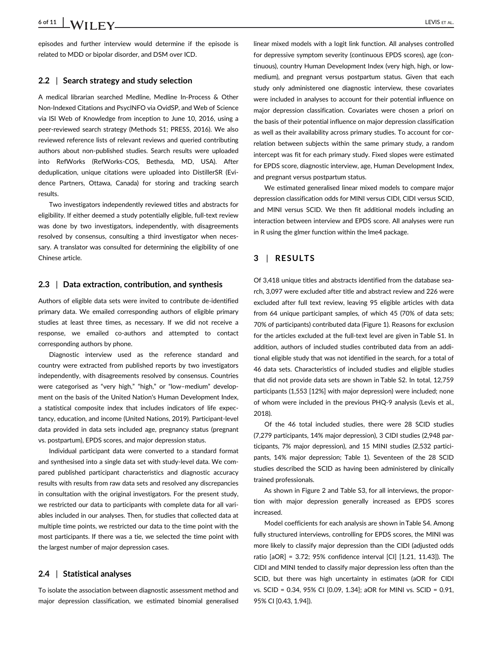episodes and further interview would determine if the episode is related to MDD or bipolar disorder, and DSM over ICD.

#### 2.2 Search strategy and study selection

A medical librarian searched Medline, Medline In-Process & Other Non-Indexed Citations and PsycINFO via OvidSP, and Web of Science via ISI Web of Knowledge from inception to June 10, 2016, using a peer-reviewed search strategy (Methods S1; PRESS, 2016). We also reviewed reference lists of relevant reviews and queried contributing authors about non-published studies. Search results were uploaded into RefWorks (RefWorks-COS, Bethesda, MD, USA). After deduplication, unique citations were uploaded into DistillerSR (Evidence Partners, Ottawa, Canada) for storing and tracking search results.

Two investigators independently reviewed titles and abstracts for eligibility. If either deemed a study potentially eligible, full-text review was done by two investigators, independently, with disagreements resolved by consensus, consulting a third investigator when necessary. A translator was consulted for determining the eligibility of one Chinese article.

#### 2.3 | Data extraction, contribution, and synthesis

Authors of eligible data sets were invited to contribute de-identified primary data. We emailed corresponding authors of eligible primary studies at least three times, as necessary. If we did not receive a response, we emailed co-authors and attempted to contact corresponding authors by phone.

Diagnostic interview used as the reference standard and country were extracted from published reports by two investigators independently, with disagreements resolved by consensus. Countries were categorised as "very high," "high," or "low–medium" development on the basis of the United Nation's Human Development Index, a statistical composite index that includes indicators of life expectancy, education, and income (United Nations, 2019). Participant-level data provided in data sets included age, pregnancy status (pregnant vs. postpartum), EPDS scores, and major depression status.

Individual participant data were converted to a standard format and synthesised into a single data set with study-level data. We compared published participant characteristics and diagnostic accuracy results with results from raw data sets and resolved any discrepancies in consultation with the original investigators. For the present study, we restricted our data to participants with complete data for all variables included in our analyses. Then, for studies that collected data at multiple time points, we restricted our data to the time point with the most participants. If there was a tie, we selected the time point with the largest number of major depression cases.

### 2.4 | Statistical analyses

To isolate the association between diagnostic assessment method and major depression classification, we estimated binomial generalised

linear mixed models with a logit link function. All analyses controlled for depressive symptom severity (continuous EPDS scores), age (continuous), country Human Development Index (very high, high, or lowmedium), and pregnant versus postpartum status. Given that each study only administered one diagnostic interview, these covariates were included in analyses to account for their potential influence on major depression classification. Covariates were chosen a priori on the basis of their potential influence on major depression classification as well as their availability across primary studies. To account for correlation between subjects within the same primary study, a random intercept was fit for each primary study. Fixed slopes were estimated for EPDS score, diagnostic interview, age, Human Development Index, and pregnant versus postpartum status.

We estimated generalised linear mixed models to compare major depression classification odds for MINI versus CIDI, CIDI versus SCID, and MINI versus SCID. We then fit additional models including an interaction between interview and EPDS score. All analyses were run in R using the glmer function within the lme4 package.

## 3 | RESULTS

Of 3,418 unique titles and abstracts identified from the database search, 3,097 were excluded after title and abstract review and 226 were excluded after full text review, leaving 95 eligible articles with data from 64 unique participant samples, of which 45 (70% of data sets; 70% of participants) contributed data (Figure 1). Reasons for exclusion for the articles excluded at the full-text level are given in Table S1. In addition, authors of included studies contributed data from an additional eligible study that was not identified in the search, for a total of 46 data sets. Characteristics of included studies and eligible studies that did not provide data sets are shown in Table S2. In total, 12,759 participants (1,553 [12%] with major depression) were included; none of whom were included in the previous PHQ-9 analysis (Levis et al., 2018).

Of the 46 total included studies, there were 28 SCID studies (7,279 participants, 14% major depression), 3 CIDI studies (2,948 participants, 7% major depression), and 15 MINI studies (2,532 participants, 14% major depression; Table 1). Seventeen of the 28 SCID studies described the SCID as having been administered by clinically trained professionals.

As shown in Figure 2 and Table S3, for all interviews, the proportion with major depression generally increased as EPDS scores increased.

Model coefficients for each analysis are shown in Table S4. Among fully structured interviews, controlling for EPDS scores, the MINI was more likely to classify major depression than the CIDI (adjusted odds ratio [aOR] = 3.72; 95% confidence interval [CI] [1.21, 11.43]). The CIDI and MINI tended to classify major depression less often than the SCID, but there was high uncertainty in estimates (aOR for CIDI vs. SCID = 0.34, 95% CI [0.09, 1.34]; aOR for MINI vs. SCID = 0.91, 95% CI [0.43, 1.94]).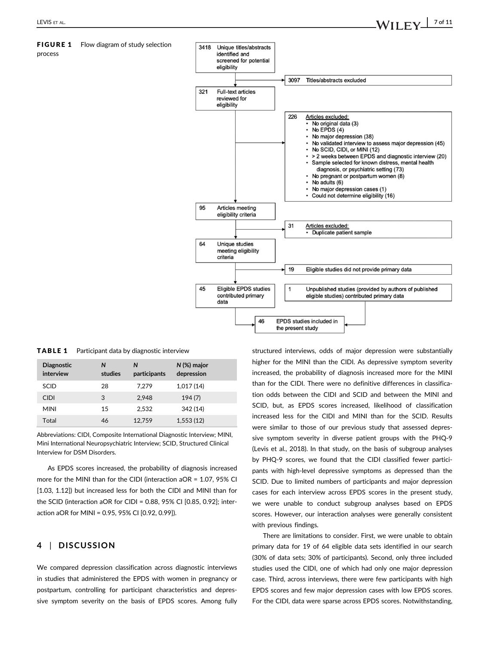## FIGURE 1 Flow diagram of study selection

process



TABLE 1 Participant data by diagnostic interview

| <b>Diagnostic</b><br>interview | N<br>studies | N<br>participants | $N$ (%) major<br>depression |
|--------------------------------|--------------|-------------------|-----------------------------|
| <b>SCID</b>                    | 28           | 7.279             | 1,017(14)                   |
| <b>CIDI</b>                    | 3            | 2.948             | 194(7)                      |
| <b>MINI</b>                    | 15           | 2.532             | 342 (14)                    |
| Total                          | 46           | 12.759            | 1,553(12)                   |

Abbreviations: CIDI, Composite International Diagnostic Interview; MINI, Mini International Neuropsychiatric Interview; SCID, Structured Clinical Interview for DSM Disorders.

As EPDS scores increased, the probability of diagnosis increased more for the MINI than for the CIDI (interaction aOR = 1.07, 95% CI [1.03, 1.12]) but increased less for both the CIDI and MINI than for the SCID (interaction aOR for CIDI = 0.88, 95% CI [0.85, 0.92]; interaction aOR for MINI = 0.95, 95% CI [0.92, 0.99]).

## 4 | DISCUSSION

We compared depression classification across diagnostic interviews in studies that administered the EPDS with women in pregnancy or postpartum, controlling for participant characteristics and depressive symptom severity on the basis of EPDS scores. Among fully structured interviews, odds of major depression were substantially higher for the MINI than the CIDI. As depressive symptom severity increased, the probability of diagnosis increased more for the MINI than for the CIDI. There were no definitive differences in classification odds between the CIDI and SCID and between the MINI and SCID, but, as EPDS scores increased, likelihood of classification increased less for the CIDI and MINI than for the SCID. Results were similar to those of our previous study that assessed depressive symptom severity in diverse patient groups with the PHQ-9 (Levis et al., 2018). In that study, on the basis of subgroup analyses by PHQ-9 scores, we found that the CIDI classified fewer participants with high-level depressive symptoms as depressed than the SCID. Due to limited numbers of participants and major depression cases for each interview across EPDS scores in the present study, we were unable to conduct subgroup analyses based on EPDS scores. However, our interaction analyses were generally consistent with previous findings.

There are limitations to consider. First, we were unable to obtain primary data for 19 of 64 eligible data sets identified in our search (30% of data sets; 30% of participants). Second, only three included studies used the CIDI, one of which had only one major depression case. Third, across interviews, there were few participants with high EPDS scores and few major depression cases with low EPDS scores. For the CIDI, data were sparse across EPDS scores. Notwithstanding,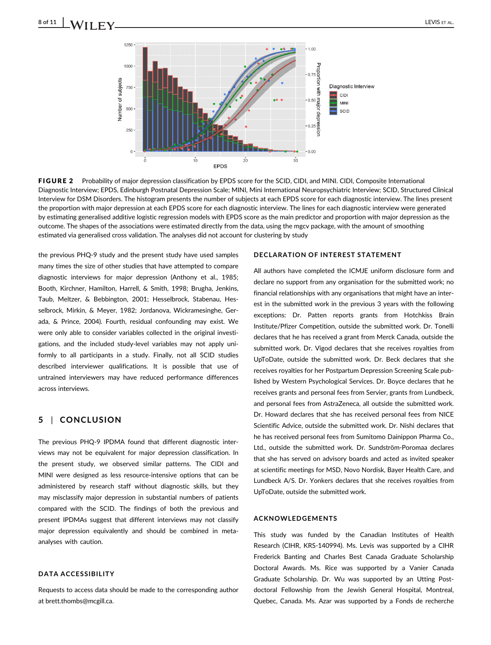

FIGURE 2 Probability of major depression classification by EPDS score for the SCID, CIDI, and MINI. CIDI, Composite International Diagnostic Interview; EPDS, Edinburgh Postnatal Depression Scale; MINI, Mini International Neuropsychiatric Interview; SCID, Structured Clinical Interview for DSM Disorders. The histogram presents the number of subjects at each EPDS score for each diagnostic interview. The lines present the proportion with major depression at each EPDS score for each diagnostic interview. The lines for each diagnostic interview were generated by estimating generalised additive logistic regression models with EPDS score as the main predictor and proportion with major depression as the outcome. The shapes of the associations were estimated directly from the data, using the mgcv package, with the amount of smoothing estimated via generalised cross validation. The analyses did not account for clustering by study

the previous PHQ-9 study and the present study have used samples many times the size of other studies that have attempted to compare diagnostic interviews for major depression (Anthony et al., 1985; Booth, Kirchner, Hamilton, Harrell, & Smith, 1998; Brugha, Jenkins, Taub, Meltzer, & Bebbington, 2001; Hesselbrock, Stabenau, Hesselbrock, Mirkin, & Meyer, 1982; Jordanova, Wickramesinghe, Gerada, & Prince, 2004). Fourth, residual confounding may exist. We were only able to consider variables collected in the original investigations, and the included study-level variables may not apply uniformly to all participants in a study. Finally, not all SCID studies described interviewer qualifications. It is possible that use of untrained interviewers may have reduced performance differences across interviews.

## 5 | CONCLUSION

The previous PHQ-9 IPDMA found that different diagnostic interviews may not be equivalent for major depression classification. In the present study, we observed similar patterns. The CIDI and MINI were designed as less resource-intensive options that can be administered by research staff without diagnostic skills, but they may misclassify major depression in substantial numbers of patients compared with the SCID. The findings of both the previous and present IPDMAs suggest that different interviews may not classify major depression equivalently and should be combined in metaanalyses with caution.

#### DATA ACCESSIBILITY

Requests to access data should be made to the corresponding author at brett.thombs@mcgill.ca.

#### DECLARATION OF INTEREST STATEMENT

All authors have completed the ICMJE uniform disclosure form and declare no support from any organisation for the submitted work; no financial relationships with any organisations that might have an interest in the submitted work in the previous 3 years with the following exceptions: Dr. Patten reports grants from Hotchkiss Brain Institute/Pfizer Competition, outside the submitted work. Dr. Tonelli declares that he has received a grant from Merck Canada, outside the submitted work. Dr. Vigod declares that she receives royalties from UpToDate, outside the submitted work. Dr. Beck declares that she receives royalties for her Postpartum Depression Screening Scale published by Western Psychological Services. Dr. Boyce declares that he receives grants and personal fees from Servier, grants from Lundbeck, and personal fees from AstraZeneca, all outside the submitted work. Dr. Howard declares that she has received personal fees from NICE Scientific Advice, outside the submitted work. Dr. Nishi declares that he has received personal fees from Sumitomo Dainippon Pharma Co., Ltd., outside the submitted work. Dr. Sundström-Poromaa declares that she has served on advisory boards and acted as invited speaker at scientific meetings for MSD, Novo Nordisk, Bayer Health Care, and Lundbeck A/S. Dr. Yonkers declares that she receives royalties from UpToDate, outside the submitted work.

#### ACKNOWLEDGEMENTS

This study was funded by the Canadian Institutes of Health Research (CIHR, KRS-140994). Ms. Levis was supported by a CIHR Frederick Banting and Charles Best Canada Graduate Scholarship Doctoral Awards. Ms. Rice was supported by a Vanier Canada Graduate Scholarship. Dr. Wu was supported by an Utting Postdoctoral Fellowship from the Jewish General Hospital, Montreal, Quebec, Canada. Ms. Azar was supported by a Fonds de recherche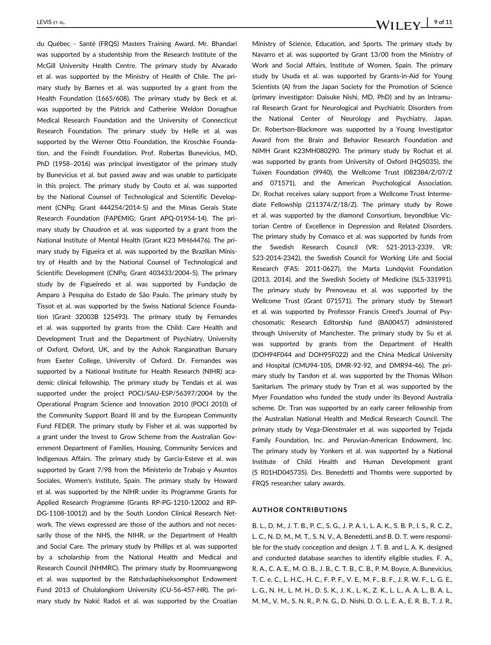du Québec - Santé (FRQS) Masters Training Award. Mr. Bhandari was supported by a studentship from the Research Institute of the McGill University Health Centre. The primary study by Alvarado et al. was supported by the Ministry of Health of Chile. The primary study by Barnes et al. was supported by a grant from the Health Foundation (1665/608). The primary study by Beck et al. was supported by the Patrick and Catherine Weldon Donaghue Medical Research Foundation and the University of Connecticut Research Foundation. The primary study by Helle et al. was supported by the Werner Otto Foundation, the Kroschke Foundation, and the Feindt Foundation. Prof. Robertas Bunevicius, MD, PhD (1958–2016) was principal investigator of the primary study by Bunevicius et al. but passed away and was unable to participate in this project. The primary study by Couto et al. was supported by the National Counsel of Technological and Scientific Development (CNPq; Grant 444254/2014-5) and the Minas Gerais State Research Foundation (FAPEMIG; Grant APQ-01954-14). The primary study by Chaudron et al. was supported by a grant from the National Institute of Mental Health (Grant K23 MH64476). The primary study by Figueira et al. was supported by the Brazilian Ministry of Health and by the National Counsel of Technological and Scientific Development (CNPq; Grant 403433/2004-5). The primary study by de Figueiredo et al. was supported by Fundação de Amparo à Pesquisa do Estado de São Paulo. The primary study by Tissot et al. was supported by the Swiss National Science Foundation (Grant 32003B 125493). The primary study by Fernandes et al. was supported by grants from the Child: Care Health and Development Trust and the Department of Psychiatry, University of Oxford, Oxford, UK, and by the Ashok Ranganathan Bursary from Exeter College, University of Oxford. Dr. Fernandes was supported by a National Institute for Health Research (NIHR) academic clinical fellowship. The primary study by Tendais et al. was supported under the project POCI/SAU-ESP/56397/2004 by the Operational Program Science and Innovation 2010 (POCI 2010) of the Community Support Board III and by the European Community Fund FEDER. The primary study by Fisher et al. was supported by a grant under the Invest to Grow Scheme from the Australian Government Department of Families, Housing, Community Services and Indigenous Affairs. The primary study by Garcia-Esteve et al. was supported by Grant 7/98 from the Ministerio de Trabajo y Asuntos Sociales, Women's Institute, Spain. The primary study by Howard et al. was supported by the NIHR under its Programme Grants for Applied Research Programme (Grants RP-PG-1210-12002 and RP-DG-1108-10012) and by the South London Clinical Research Network. The views expressed are those of the authors and not necessarily those of the NHS, the NIHR, or the Department of Health and Social Care. The primary study by Phillips et al. was supported by a scholarship from the National Health and Medical and Research Council (NHMRC). The primary study by Roomruangwong et al. was supported by the Ratchadaphiseksomphot Endowment Fund 2013 of Chulalongkorn University (CU-56-457-HR). The primary study by Nakić Radoš et al. was supported by the Croatian

Ministry of Science, Education, and Sports. The primary study by Navarro et al. was supported by Grant 13/00 from the Ministry of Work and Social Affairs, Institute of Women, Spain. The primary study by Usuda et al. was supported by Grants-in-Aid for Young Scientists (A) from the Japan Society for the Promotion of Science (primary investigator: Daisuke Nishi, MD, PhD) and by an Intramural Research Grant for Neurological and Psychiatric Disorders from the National Center of Neurology and Psychiatry, Japan. Dr. Robertson-Blackmore was supported by a Young Investigator Award from the Brain and Behavior Research Foundation and NIMH Grant K23MH080290. The primary study by Rochat et al. was supported by grants from University of Oxford (HQ5035), the Tuixen Foundation (9940), the Wellcome Trust (082384/Z/07/Z and 071571), and the American Psychological Association. Dr. Rochat receives salary support from a Wellcome Trust Intermediate Fellowship (211374/Z/18/Z). The primary study by Rowe et al. was supported by the diamond Consortium, beyondblue Victorian Centre of Excellence in Depression and Related Disorders. The primary study by Comasco et al. was supported by funds from the Swedish Research Council (VR: 521-2013-2339, VR: 523-2014-2342), the Swedish Council for Working Life and Social Research (FAS: 2011-0627), the Marta Lundqvist Foundation (2013, 2014), and the Swedish Society of Medicine (SLS-331991). The primary study by Prenoveau et al. was supported by the Wellcome Trust (Grant 071571). The primary study by Stewart et al. was supported by Professor Francis Creed's Journal of Psychosomatic Research Editorship fund (BA00457) administered through University of Manchester. The primary study by Su et al. was supported by grants from the Department of Health (DOH94F044 and DOH95F022) and the China Medical University and Hospital (CMU94-105, DMR-92-92, and DMR94-46). The primary study by Tandon et al. was supported by the Thomas Wilson Sanitarium. The primary study by Tran et al. was supported by the Myer Foundation who funded the study under its Beyond Australia scheme. Dr. Tran was supported by an early career fellowship from the Australian National Health and Medical Research Council. The primary study by Vega-Dienstmaier et al. was supported by Tejada Family Foundation, Inc. and Peruvian-American Endowment, Inc. The primary study by Yonkers et al. was supported by a National Institute of Child Health and Human Development grant (5 R01HD045735). Drs. Benedetti and Thombs were supported by FRQS researcher salary awards.

#### AUTHOR CONTRIBUTIONS

B. L., D. M., J. T. B., P. C., S. G., J. P. A. I., L. A. K., S. B. P., I. S., R. C. Z., L. C., N. D. M., M. T., S. N. V., A. Benedetti, and B. D. T. were responsible for the study conception and design. J. T. B. and L. A. K. designed and conducted database searches to identify eligible studies. F. A., R. A., C. A. E., M. O. B., J. B., C. T. B., C. B., P. M. Boyce, A. Bunevicius, T. C. e. C., L. H.C., H. C., F. P. F., V. E., M. F., B. F., J. R. W. F., L. G. E., L. G., N. H., L. M. H., D. S. K., J. K., L. K., Z. K., L. L., A. A. L., B. A. L., M. M., V. M., S. N. R., P. N. G., D. Nishi, D. O. L. E. A., E. R. B., T. J. R.,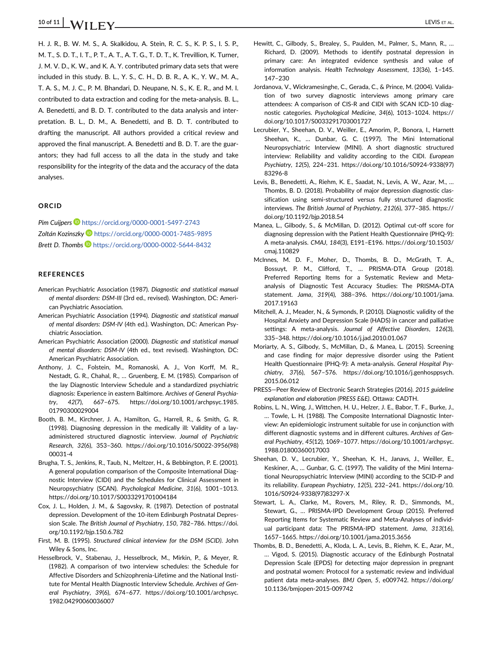H. J. R., B. W. M. S., A. Skalkidou, A. Stein, R. C. S., K. P. S., I. S. P., M. T., S. D. T., I. T., P. T., A. T., A. T. G., T. D. T., K. Trevillion, K. Turner, J. M. V. D., K. W., and K. A. Y. contributed primary data sets that were included in this study. B. L., Y. S., C. H., D. B. R., A. K., Y. W., M. A., T. A. S., M. J. C., P. M. Bhandari, D. Neupane, N. S., K. E. R., and M. I. contributed to data extraction and coding for the meta-analysis. B. L., A. Benedetti, and B. D. T. contributed to the data analysis and interpretation. B. L., D. M., A. Benedetti, and B. D. T. contributed to drafting the manuscript. All authors provided a critical review and approved the final manuscript. A. Benedetti and B. D. T. are the guarantors; they had full access to all the data in the study and take responsibility for the integrity of the data and the accuracy of the data analyses.

#### ORCID

Pim Cuijpers **b** https://orcid.org/0000-0001-5497-2743 Zoltán Kozinszky D https://orcid.org/0000-0001-7485-9895 Brett D. Thombs **b** https://orcid.org/0000-0002-5644-8432

#### REFERENCES

- American Psychiatric Association (1987). Diagnostic and statistical manual of mental disorders: DSM-III (3rd ed., revised). Washington, DC: American Psychiatric Association.
- American Psychiatric Association (1994). Diagnostic and statistical manual of mental disorders: DSM-IV (4th ed.). Washington, DC: American Psychiatric Association.
- American Psychiatric Association (2000). Diagnostic and statistical manual of mental disorders: DSM-IV (4th ed., text revised). Washington, DC: American Psychiatric Association.
- Anthony, J. C., Folstein, M., Romanoski, A. J., Von Korff, M. R., Nestadt, G. R., Chahal, R., … Gruenberg, E. M. (1985). Comparison of the lay Diagnostic Interview Schedule and a standardized psychiatric diagnosis: Experience in eastern Baltimore. Archives of General Psychiatry, 42(7), 667–675. https://doi.org/10.1001/archpsyc.1985. 01790300029004
- Booth, B. M., Kirchner, J. A., Hamilton, G., Harrell, R., & Smith, G. R. (1998). Diagnosing depression in the medically ill: Validity of a layadministered structured diagnostic interview. Journal of Psychiatric Research, 32(6), 353–360. https://doi.org/10.1016/S0022-3956(98) 00031-4
- Brugha, T. S., Jenkins, R., Taub, N., Meltzer, H., & Bebbington, P. E. (2001). A general population comparison of the Composite International Diagnostic Interview (CIDI) and the Schedules for Clinical Assessment in Neuropsychiatry (SCAN). Psychological Medicine, 31(6), 1001–1013. https://doi.org/10.1017/S0033291701004184
- Cox, J. L., Holden, J. M., & Sagovsky, R. (1987). Detection of postnatal depression. Development of the 10-item Edinburgh Postnatal Depression Scale. The British Journal of Psychiatry, 150, 782–786. https://doi. org/10.1192/bjp.150.6.782
- First, M. B. (1995). Structured clinical interview for the DSM (SCID). John Wiley & Sons, Inc.
- Hesselbrock, V., Stabenau, J., Hesselbrock, M., Mirkin, P., & Meyer, R. (1982). A comparison of two interview schedules: the Schedule for Affective Disorders and Schizophrenia-Lifetime and the National Institute for Mental Health Diagnostic Interview Schedule. Archives of General Psychiatry, 39(6), 674–677. https://doi.org/10.1001/archpsyc. 1982.04290060036007
- Hewitt, C., Gilbody, S., Brealey, S., Paulden, M., Palmer, S., Mann, R., … Richard, D. (2009). Methods to identify postnatal depression in primary care: An integrated evidence synthesis and value of information analysis. Health Technology Assessment, 13(36), 1–145. 147–230
- Jordanova, V., Wickramesinghe, C., Gerada, C., & Prince, M. (2004). Validation of two survey diagnostic interviews among primary care attendees: A comparison of CIS-R and CIDI with SCAN ICD-10 diagnostic categories. Psychological Medicine, 34(6), 1013–1024. https:// doi.org/10.1017/S0033291703001727
- Lecrubier, Y., Sheehan, D. V., Weiller, E., Amorim, P., Bonora, I., Harnett Sheehan, K., … Dunbar, G. C. (1997). The Mini International Neuropsychiatric Interview (MINI). A short diagnostic structured interview: Reliability and validity according to the CIDI. European Psychiatry, 12(5), 224–231. https://doi.org/10.1016/S0924-9338(97) 83296-8
- Levis, B., Benedetti, A., Riehm, K. E., Saadat, N., Levis, A. W., Azar, M., … Thombs, B. D. (2018). Probability of major depression diagnostic classification using semi-structured versus fully structured diagnostic interviews. The British Journal of Psychiatry, 212(6), 377–385. https:// doi.org/10.1192/bjp.2018.54
- Manea, L., Gilbody, S., & McMillan, D. (2012). Optimal cut-off score for diagnosing depression with the Patient Health Questionnaire (PHQ-9): A meta-analysis. CMAJ, 184(3), E191–E196. https://doi.org/10.1503/ cmaj.110829
- McInnes, M. D. F., Moher, D., Thombs, B. D., McGrath, T. A., Bossuyt, P. M., Clifford, T., … PRISMA-DTA Group (2018). Preferred Reporting Items for a Systematic Review and Metaanalysis of Diagnostic Test Accuracy Studies: The PRISMA-DTA statement. Jama, 319(4), 388–396. https://doi.org/10.1001/jama. 2017.19163
- Mitchell, A. J., Meader, N., & Symonds, P. (2010). Diagnostic validity of the Hospital Anxiety and Depression Scale (HADS) in cancer and palliative settings: A meta-analysis. Journal of Affective Disorders, 126(3), 335–348. https://doi.org/10.1016/j.jad.2010.01.067
- Moriarty, A. S., Gilbody, S., McMillan, D., & Manea, L. (2015). Screening and case finding for major depressive disorder using the Patient Health Questionnaire (PHQ-9): A meta-analysis. General Hospital Psychiatry, 37(6), 567–576. https://doi.org/10.1016/j.genhosppsych. 2015.06.012
- PRESS—Peer Review of Electronic Search Strategies (2016). 2015 guideline explanation and elaboration (PRESS E&E). Ottawa: CADTH.
- Robins, L. N., Wing, J., Wittchen, H. U., Helzer, J. E., Babor, T. F., Burke, J., … Towle, L. H. (1988). The Composite International Diagnostic Interview: An epidemiologic instrument suitable for use in conjunction with different diagnostic systems and in different cultures. Archives of General Psychiatry, 45(12), 1069–1077. https://doi.org/10.1001/archpsyc. 1988.01800360017003
- Sheehan, D. V., Lecrubier, Y., Sheehan, K. H., Janavs, J., Weiller, E., Keskiner, A., … Gunbar, G. C. (1997). The validity of the Mini International Neuropsychiatric Interview (MINI) according to the SCID-P and its reliability. European Psychiatry, 12(5), 232–241. https://doi.org/10. 1016/S0924-9338(97)83297-X
- Stewart, L. A., Clarke, M., Rovers, M., Riley, R. D., Simmonds, M., Stewart, G., … PRISMA-IPD Development Group (2015). Preferred Reporting Items for Systematic Review and Meta-Analyses of individual participant data: The PRISMA-IPD statement. Jama, 313(16), 1657–1665. https://doi.org/10.1001/jama.2015.3656
- Thombs, B. D., Benedetti, A., Kloda, L. A., Levis, B., Riehm, K. E., Azar, M., … Vigod, S. (2015). Diagnostic accuracy of the Edinburgh Postnatal Depression Scale (EPDS) for detecting major depression in pregnant and postnatal women: Protocol for a systematic review and individual patient data meta-analyses. BMJ Open, 5, e009742. https://doi.org/ 10.1136/bmjopen-2015-009742